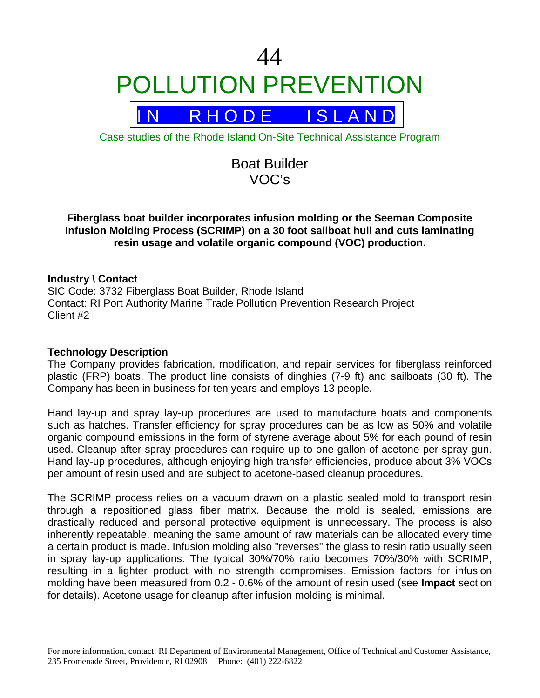

Case studies of the Rhode Island On-Site Technical Assistance Program

# Boat Builder VOC's

# **Fiberglass boat builder incorporates infusion molding or the Seeman Composite Infusion Molding Process (SCRIMP) on a 30 foot sailboat hull and cuts laminating resin usage and volatile organic compound (VOC) production.**

# **Industry \ Contact**

SIC Code: 3732 Fiberglass Boat Builder, Rhode Island Contact: RI Port Authority Marine Trade Pollution Prevention Research Project Client #2

## **Technology Description**

The Company provides fabrication, modification, and repair services for fiberglass reinforced plastic (FRP) boats. The product line consists of dinghies (7-9 ft) and sailboats (30 ft). The Company has been in business for ten years and employs 13 people.

Hand lay-up and spray lay-up procedures are used to manufacture boats and components such as hatches. Transfer efficiency for spray procedures can be as low as 50% and volatile organic compound emissions in the form of styrene average about 5% for each pound of resin used. Cleanup after spray procedures can require up to one gallon of acetone per spray gun. Hand lay-up procedures, although enjoying high transfer efficiencies, produce about 3% VOCs per amount of resin used and are subject to acetone-based cleanup procedures.

The SCRIMP process relies on a vacuum drawn on a plastic sealed mold to transport resin through a repositioned glass fiber matrix. Because the mold is sealed, emissions are drastically reduced and personal protective equipment is unnecessary. The process is also inherently repeatable, meaning the same amount of raw materials can be allocated every time a certain product is made. Infusion molding also "reverses" the glass to resin ratio usually seen in spray lay-up applications. The typical 30%/70% ratio becomes 70%/30% with SCRIMP, resulting in a lighter product with no strength compromises. Emission factors for infusion molding have been measured from 0.2 - 0.6% of the amount of resin used (see **Impact** section for details). Acetone usage for cleanup after infusion molding is minimal.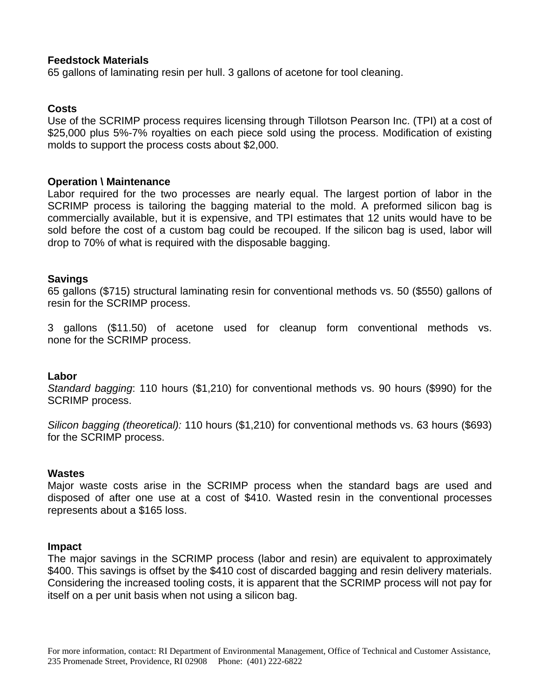## **Feedstock Materials**

65 gallons of laminating resin per hull. 3 gallons of acetone for tool cleaning.

## **Costs**

Use of the SCRIMP process requires licensing through Tillotson Pearson Inc. (TPI) at a cost of \$25,000 plus 5%-7% royalties on each piece sold using the process. Modification of existing molds to support the process costs about \$2,000.

#### **Operation \ Maintenance**

Labor required for the two processes are nearly equal. The largest portion of labor in the SCRIMP process is tailoring the bagging material to the mold. A preformed silicon bag is commercially available, but it is expensive, and TPI estimates that 12 units would have to be sold before the cost of a custom bag could be recouped. If the silicon bag is used, labor will drop to 70% of what is required with the disposable bagging.

#### **Savings**

65 gallons (\$715) structural laminating resin for conventional methods vs. 50 (\$550) gallons of resin for the SCRIMP process.

3 gallons (\$11.50) of acetone used for cleanup form conventional methods vs. none for the SCRIMP process.

#### **Labor**

*Standard bagging*: 110 hours (\$1,210) for conventional methods vs. 90 hours (\$990) for the SCRIMP process.

*Silicon bagging (theoretical):* 110 hours (\$1,210) for conventional methods vs. 63 hours (\$693) for the SCRIMP process.

#### **Wastes**

Major waste costs arise in the SCRIMP process when the standard bags are used and disposed of after one use at a cost of \$410. Wasted resin in the conventional processes represents about a \$165 loss.

#### **Impact**

The major savings in the SCRIMP process (labor and resin) are equivalent to approximately \$400. This savings is offset by the \$410 cost of discarded bagging and resin delivery materials. Considering the increased tooling costs, it is apparent that the SCRIMP process will not pay for itself on a per unit basis when not using a silicon bag.